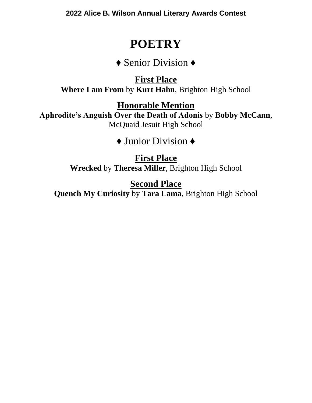**2022 Alice B. Wilson Annual Literary Awards Contest**

## **POETRY**

♦ Senior Division ♦

**First Place Where I am From** by **Kurt Hahn**, Brighton High School

**Honorable Mention**

**Aphrodite's Anguish Over the Death of Adonis** by **Bobby McCann**, McQuaid Jesuit High School

♦ Junior Division ♦

**First Place Wrecked** by **Theresa Miller**, Brighton High School

**Second Place Quench My Curiosity** by **Tara Lama**, Brighton High School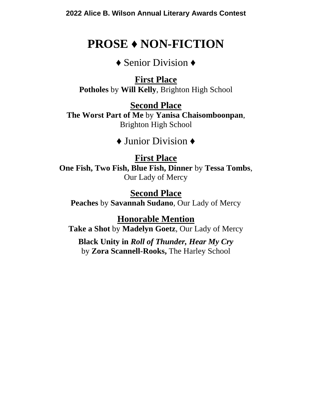# **PROSE ♦ NON-FICTION**

♦ Senior Division ♦

**First Place Potholes** by **Will Kelly**, Brighton High School

**Second Place The Worst Part of Me** by **Yanisa Chaisomboonpan**, Brighton High School

♦ Junior Division ♦

### **First Place**

**One Fish, Two Fish, Blue Fish, Dinner** by **Tessa Tombs**, Our Lady of Mercy

### **Second Place**

**Peaches** by **Savannah Sudano**, Our Lady of Mercy

**Honorable Mention**

**Take a Shot** by **Madelyn Goetz**, Our Lady of Mercy

**Black Unity in** *Roll of Thunder, Hear My Cry* by **Zora Scannell-Rooks,** The Harley School